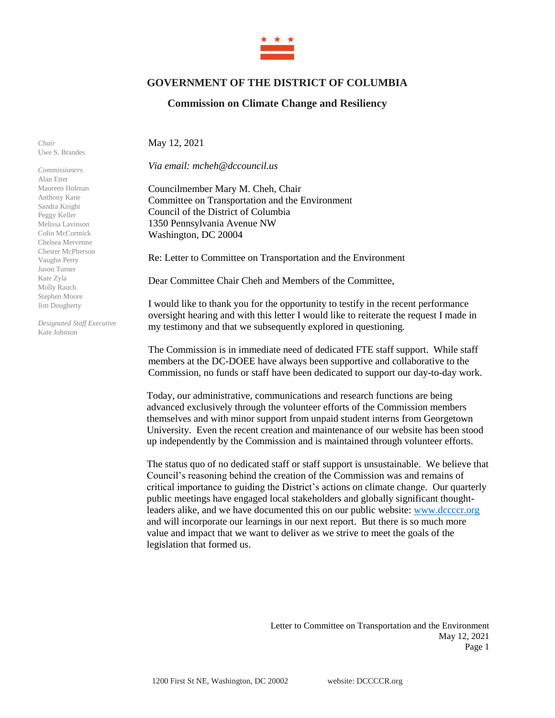

## **GOVERNMENT OF THE DISTRICT OF COLUMBIA**

## **Commission on Climate Change and Resiliency**

*Chair* Uwe S. Brandes

*Commissioners* Alan Etter Maureen Holman Anthony Kane Sandra Knight Peggy Keller Melissa Lavinson Colin McCormick Chelsea Mervenne Chester McPherson Vaughn Perry Jason Turner Kate Zyla Molly Rauch Stephen Moore Jim Dougherty

*Designated Staff Executive* Kate Johnson

May 12, 2021

*Via email: mcheh@dccouncil.us*

Councilmember Mary M. Cheh, Chair Committee on Transportation and the Environment Council of the District of Columbia 1350 Pennsylvania Avenue NW Washington, DC 20004

Re: Letter to Committee on Transportation and the Environment

Dear Committee Chair Cheh and Members of the Committee,

I would like to thank you for the opportunity to testify in the recent performance oversight hearing and with this letter I would like to reiterate the request I made in my testimony and that we subsequently explored in questioning.

The Commission is in immediate need of dedicated FTE staff support. While staff members at the DC-DOEE have always been supportive and collaborative to the Commission, no funds or staff have been dedicated to support our day-to-day work.

Today, our administrative, communications and research functions are being advanced exclusively through the volunteer efforts of the Commission members themselves and with minor support from unpaid student interns from Georgetown University. Even the recent creation and maintenance of our website has been stood up independently by the Commission and is maintained through volunteer efforts.

The status quo of no dedicated staff or staff support is unsustainable. We believe that Council's reasoning behind the creation of the Commission was and remains of critical importance to guiding the District's actions on climate change. Our quarterly public meetings have engaged local stakeholders and globally significant thoughtleaders alike, and we have documented this on our public website[: www.dccccr.org](http://www.dccccr.org/) and will incorporate our learnings in our next report. But there is so much more value and impact that we want to deliver as we strive to meet the goals of the legislation that formed us.

> Letter to Committee on Transportation and the Environment May 12, 2021 Page 1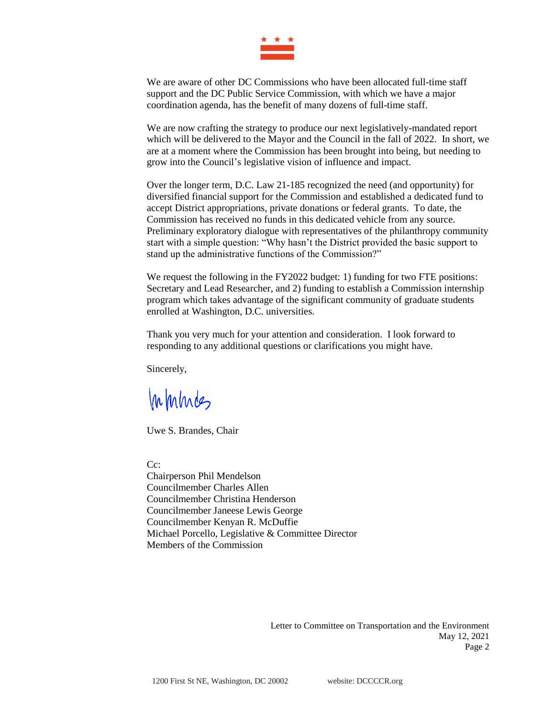

We are aware of other DC Commissions who have been allocated full-time staff support and the DC Public Service Commission, with which we have a major coordination agenda, has the benefit of many dozens of full-time staff.

We are now crafting the strategy to produce our next legislatively-mandated report which will be delivered to the Mayor and the Council in the fall of 2022. In short, we are at a moment where the Commission has been brought into being, but needing to grow into the Council's legislative vision of influence and impact.

Over the longer term, D.C. Law 21-185 recognized the need (and opportunity) for diversified financial support for the Commission and established a dedicated fund to accept District appropriations, private donations or federal grants. To date, the Commission has received no funds in this dedicated vehicle from any source. Preliminary exploratory dialogue with representatives of the philanthropy community start with a simple question: "Why hasn't the District provided the basic support to stand up the administrative functions of the Commission?"

We request the following in the FY2022 budget: 1) funding for two FTE positions: Secretary and Lead Researcher, and 2) funding to establish a Commission internship program which takes advantage of the significant community of graduate students enrolled at Washington, D.C. universities.

Thank you very much for your attention and consideration. I look forward to responding to any additional questions or clarifications you might have.

Sincerely,

Inhines

Uwe S. Brandes, Chair

C<sub>c</sub>:

Chairperson Phil Mendelson Councilmember Charles Allen Councilmember Christina Henderson Councilmember Janeese Lewis George Councilmember Kenyan R. McDuffie Michael Porcello, Legislative & Committee Director Members of the Commission